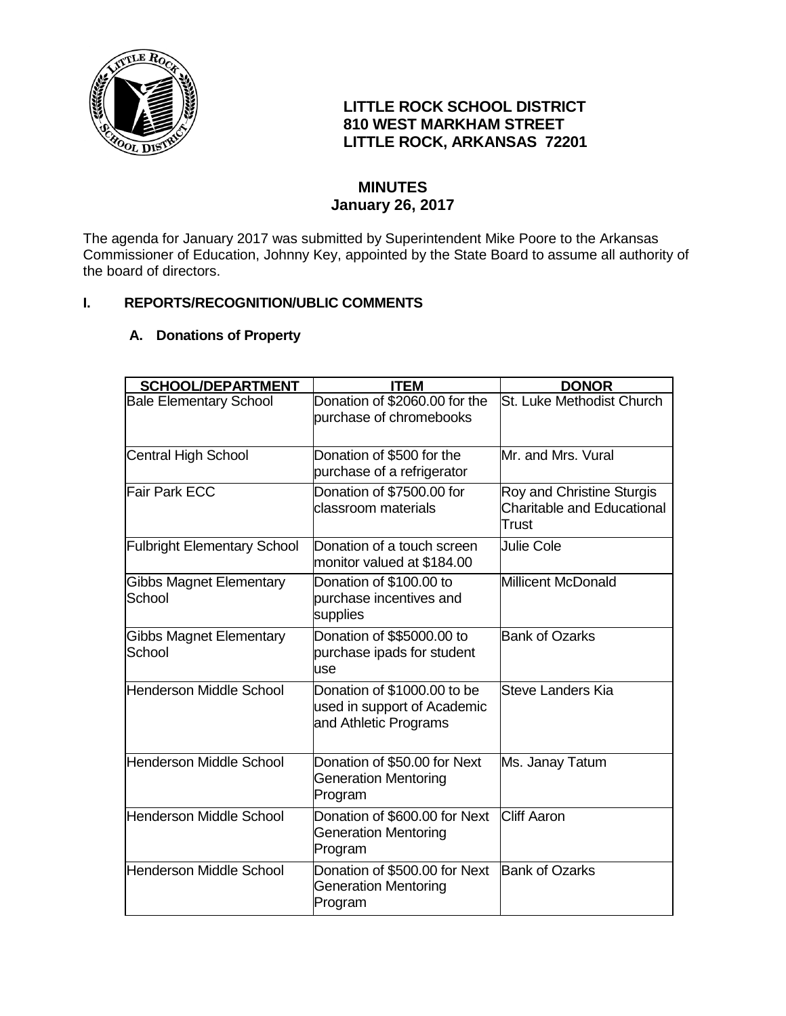

# **LITTLE ROCK SCHOOL DISTRICT 810 WEST MARKHAM STREET LITTLE ROCK, ARKANSAS 72201**

# **MINUTES January 26, 2017**

The agenda for January 2017 was submitted by Superintendent Mike Poore to the Arkansas Commissioner of Education, Johnny Key, appointed by the State Board to assume all authority of the board of directors.

## **I. REPORTS/RECOGNITION/UBLIC COMMENTS**

# **A. Donations of Property**

| <b>SCHOOL/DEPARTMENT</b>                 | <b>ITEM</b>                                                                         | <b>DONOR</b>                                                            |
|------------------------------------------|-------------------------------------------------------------------------------------|-------------------------------------------------------------------------|
| <b>Bale Elementary School</b>            | Donation of \$2060.00 for the<br>purchase of chromebooks                            | St. Luke Methodist Church                                               |
| <b>Central High School</b>               | Donation of \$500 for the<br>purchase of a refrigerator                             | Mr. and Mrs. Vural                                                      |
| Fair Park ECC                            | Donation of \$7500.00 for<br>classroom materials                                    | Roy and Christine Sturgis<br><b>Charitable and Educational</b><br>Trust |
| <b>Fulbright Elementary School</b>       | Donation of a touch screen<br>monitor valued at \$184.00                            | <b>Julie Cole</b>                                                       |
| <b>Gibbs Magnet Elementary</b><br>School | Donation of \$100.00 to<br>purchase incentives and<br>supplies                      | Millicent McDonald                                                      |
| <b>Gibbs Magnet Elementary</b><br>School | Donation of \$\$5000.00 to<br>purchase ipads for student<br>use                     | <b>Bank of Ozarks</b>                                                   |
| <b>Henderson Middle School</b>           | Donation of \$1000.00 to be<br>used in support of Academic<br>and Athletic Programs | Steve Landers Kia                                                       |
| Henderson Middle School                  | Donation of \$50.00 for Next<br><b>Generation Mentoring</b><br>Program              | Ms. Janay Tatum                                                         |
| <b>Henderson Middle School</b>           | Donation of \$600.00 for Next<br><b>Generation Mentoring</b><br>Program             | <b>Cliff Aaron</b>                                                      |
| Henderson Middle School                  | Donation of \$500.00 for Next<br><b>Generation Mentoring</b><br>Program             | <b>Bank of Ozarks</b>                                                   |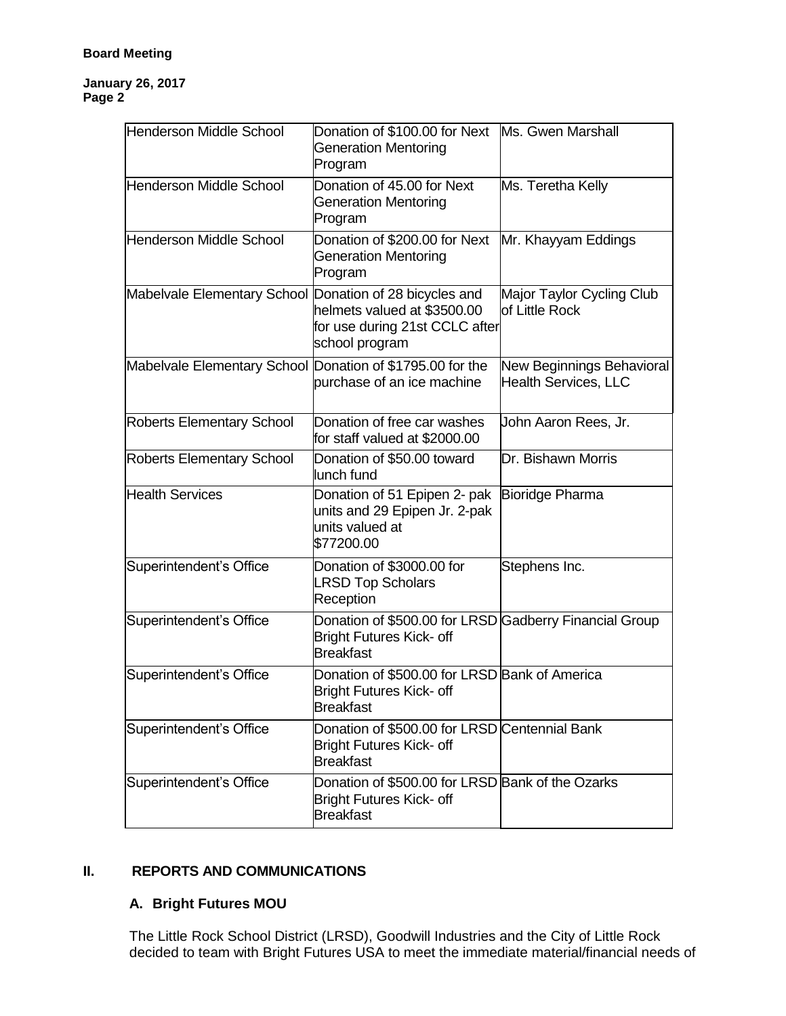#### **Board Meeting**

#### **January 26, 2017 Page 2**

| Henderson Middle School                                   | Donation of \$100.00 for Next Ms. Gwen Marshall<br><b>Generation Mentoring</b><br>Program                     |                                                          |
|-----------------------------------------------------------|---------------------------------------------------------------------------------------------------------------|----------------------------------------------------------|
| Henderson Middle School                                   | Donation of 45.00 for Next<br><b>Generation Mentoring</b><br>Program                                          | Ms. Teretha Kelly                                        |
| Henderson Middle School                                   | Donation of \$200.00 for Next<br><b>Generation Mentoring</b><br>Program                                       | Mr. Khayyam Eddings                                      |
| Mabelvale Elementary School Donation of 28 bicycles and   | helmets valued at \$3500.00<br>for use during 21st CCLC after<br>school program                               | Major Taylor Cycling Club<br>of Little Rock              |
| Mabelvale Elementary School Donation of \$1795.00 for the | purchase of an ice machine                                                                                    | New Beginnings Behavioral<br><b>Health Services, LLC</b> |
| <b>Roberts Elementary School</b>                          | Donation of free car washes<br>for staff valued at \$2000.00                                                  | John Aaron Rees, Jr.                                     |
| <b>Roberts Elementary School</b>                          | Donation of \$50.00 toward<br>lunch fund                                                                      | Dr. Bishawn Morris                                       |
| <b>Health Services</b>                                    | Donation of 51 Epipen 2- pak<br>units and 29 Epipen Jr. 2-pak<br>units valued at<br>\$77200.00                | Bioridge Pharma                                          |
| Superintendent's Office                                   | Donation of \$3000.00 for<br><b>LRSD Top Scholars</b><br>Reception                                            | Stephens Inc.                                            |
| Superintendent's Office                                   | Donation of \$500.00 for LRSD Gadberry Financial Group<br><b>Bright Futures Kick- off</b><br><b>Breakfast</b> |                                                          |
| Superintendent's Office                                   | Donation of \$500.00 for LRSD Bank of America<br><b>Bright Futures Kick- off</b><br><b>Breakfast</b>          |                                                          |
| Superintendent's Office                                   | Donation of \$500.00 for LRSD Centennial Bank<br><b>Bright Futures Kick- off</b><br><b>Breakfast</b>          |                                                          |
| Superintendent's Office                                   | Donation of \$500.00 for LRSD Bank of the Ozarks<br><b>Bright Futures Kick- off</b><br><b>Breakfast</b>       |                                                          |

## **II. REPORTS AND COMMUNICATIONS**

## **A. Bright Futures MOU**

The Little Rock School District (LRSD), Goodwill Industries and the City of Little Rock decided to team with Bright Futures USA to meet the immediate material/financial needs of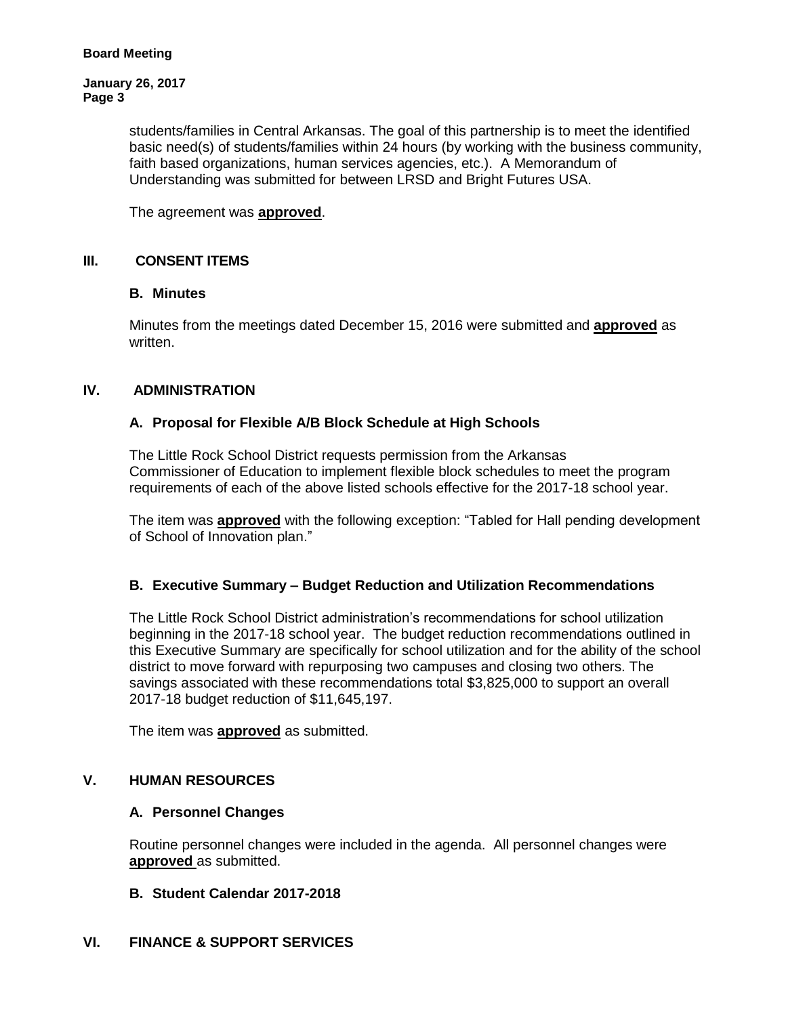**January 26, 2017 Page 3**

> students/families in Central Arkansas. The goal of this partnership is to meet the identified basic need(s) of students/families within 24 hours (by working with the business community, faith based organizations, human services agencies, etc.). A Memorandum of Understanding was submitted for between LRSD and Bright Futures USA.

The agreement was **approved**.

## **III. CONSENT ITEMS**

## **B. Minutes**

Minutes from the meetings dated December 15, 2016 were submitted and **approved** as written.

## **IV. ADMINISTRATION**

#### **A. Proposal for Flexible A/B Block Schedule at High Schools**

The Little Rock School District requests permission from the Arkansas Commissioner of Education to implement flexible block schedules to meet the program requirements of each of the above listed schools effective for the 2017-18 school year.

The item was **approved** with the following exception: "Tabled for Hall pending development of School of Innovation plan."

## **B. Executive Summary – Budget Reduction and Utilization Recommendations**

The Little Rock School District administration's recommendations for school utilization beginning in the 2017-18 school year. The budget reduction recommendations outlined in this Executive Summary are specifically for school utilization and for the ability of the school district to move forward with repurposing two campuses and closing two others. The savings associated with these recommendations total \$3,825,000 to support an overall 2017-18 budget reduction of \$11,645,197.

The item was **approved** as submitted.

## **V. HUMAN RESOURCES**

#### **A. Personnel Changes**

Routine personnel changes were included in the agenda. All personnel changes were **approved** as submitted.

#### **B. Student Calendar 2017-2018**

## **VI. FINANCE & SUPPORT SERVICES**